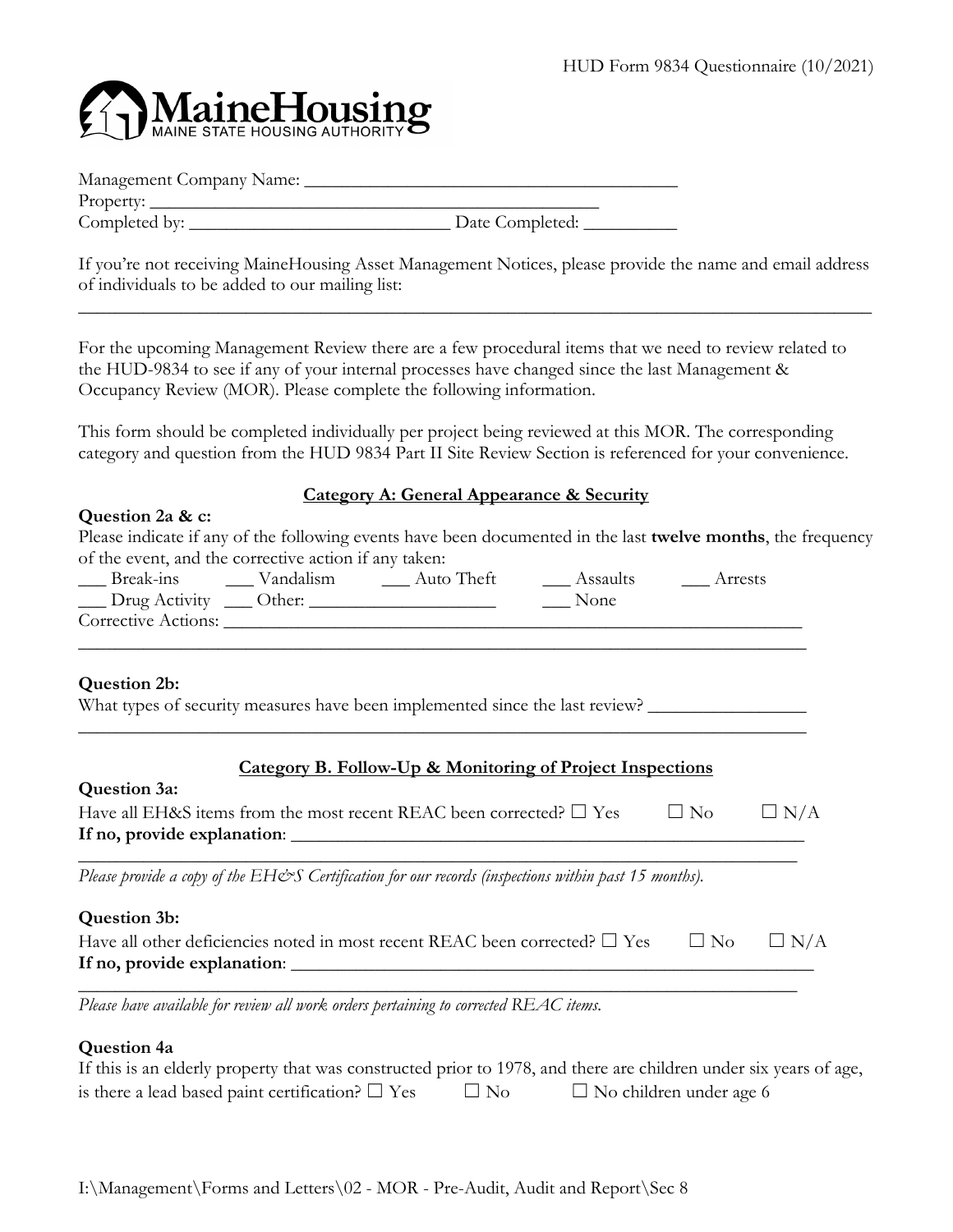

| Management Company Name: |  |
|--------------------------|--|
| Property:                |  |

Completed by: \_\_\_\_\_\_\_\_\_\_\_\_\_\_\_\_\_\_\_\_\_\_\_\_\_\_\_\_ Date Completed: \_\_\_\_\_\_\_\_\_\_

If you're not receiving MaineHousing Asset Management Notices, please provide the name and email address of individuals to be added to our mailing list:

\_\_\_\_\_\_\_\_\_\_\_\_\_\_\_\_\_\_\_\_\_\_\_\_\_\_\_\_\_\_\_\_\_\_\_\_\_\_\_\_\_\_\_\_\_\_\_\_\_\_\_\_\_\_\_\_\_\_\_\_\_\_\_\_\_\_\_\_\_\_\_\_\_\_\_\_\_\_\_\_\_\_\_\_\_

For the upcoming Management Review there are a few procedural items that we need to review related to the HUD-9834 to see if any of your internal processes have changed since the last Management & Occupancy Review (MOR). Please complete the following information.

This form should be completed individually per project being reviewed at this MOR. The corresponding category and question from the HUD 9834 Part II Site Review Section is referenced for your convenience.

## **Category A: General Appearance & Security**

## **Question 2a & c:**

| Please indicate if any of the following events have been documented in the last twelve months, the frequency |
|--------------------------------------------------------------------------------------------------------------|
| of the event, and the corrective action if any taken:                                                        |

| Break-ins           | Vandalism | Auto Theft | Assaults | Arrests |
|---------------------|-----------|------------|----------|---------|
| __ Drug Activity    | Other:    |            | None     |         |
| Corrective Actions: |           |            |          |         |
|                     |           |            |          |         |

## **Question 2b:**

What types of security measures have been implemented since the last review?

# **Category B. Follow-Up & Monitoring of Project Inspections**

| Have all EH&S items from the most recent REAC been corrected? $\square$ Yes | $\perp$ No | $\Box$ N/A |
|-----------------------------------------------------------------------------|------------|------------|
| If no, provide explanation:                                                 |            |            |

\_\_\_\_\_\_\_\_\_\_\_\_\_\_\_\_\_\_\_\_\_\_\_\_\_\_\_\_\_\_\_\_\_\_\_\_\_\_\_\_\_\_\_\_\_\_\_\_\_\_\_\_\_\_\_\_\_\_\_\_\_\_\_\_\_\_\_\_\_\_\_\_\_\_\_\_\_

\_\_\_\_\_\_\_\_\_\_\_\_\_\_\_\_\_\_\_\_\_\_\_\_\_\_\_\_\_\_\_\_\_\_\_\_\_\_\_\_\_\_\_\_\_\_\_\_\_\_\_\_\_\_\_\_\_\_\_\_\_\_\_\_\_\_\_\_\_\_\_\_\_\_\_\_\_\_

*Please provide a copy of the EH&S Certification for our records (inspections within past 15 months).* 

## **Question 3b:**

| Have all other deficiencies noted in most recent REAC been corrected? $\square$ Yes $\square$ No $\square$ N/A |  |
|----------------------------------------------------------------------------------------------------------------|--|
| If no, provide explanation:                                                                                    |  |

\_\_\_\_\_\_\_\_\_\_\_\_\_\_\_\_\_\_\_\_\_\_\_\_\_\_\_\_\_\_\_\_\_\_\_\_\_\_\_\_\_\_\_\_\_\_\_\_\_\_\_\_\_\_\_\_\_\_\_\_\_\_\_\_\_\_\_\_\_\_\_\_\_\_\_\_\_

*Please have available for review all work orders pertaining to corrected REAC items.* 

## **Question 4a**

| If this is an elderly property that was constructed prior to 1978, and there are children under six years of age, |           |                                |
|-------------------------------------------------------------------------------------------------------------------|-----------|--------------------------------|
| is there a lead based paint certification? $\square$ Yes                                                          | $\Box$ No | $\Box$ No children under age 6 |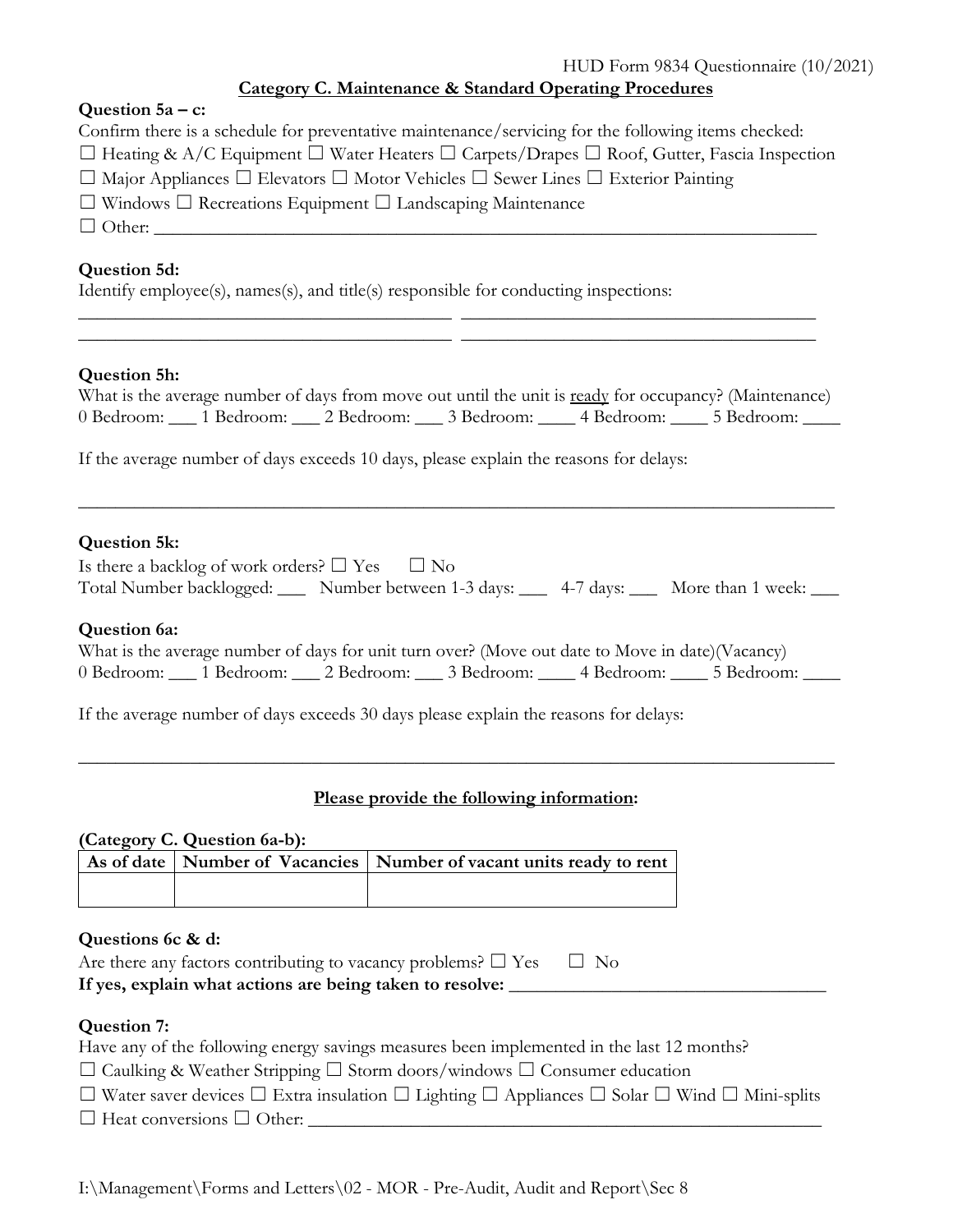## HUD Form 9834 Questionnaire (10/2021) **Category C. Maintenance & Standard Operating Procedures**

| Question $5a - c$ :                                                                                              |
|------------------------------------------------------------------------------------------------------------------|
| Confirm there is a schedule for preventative maintenance/servicing for the following items checked:              |
| $\Box$ Heating & A/C Equipment $\Box$ Water Heaters $\Box$ Carpets/Drapes $\Box$ Roof, Gutter, Fascia Inspection |
| $\Box$ Major Appliances $\Box$ Elevators $\Box$ Motor Vehicles $\Box$ Sewer Lines $\Box$ Exterior Painting       |
| $\Box$ Windows $\Box$ Recreations Equipment $\Box$ Landscaping Maintenance                                       |
| $\Box$ Other:                                                                                                    |
|                                                                                                                  |
| Question 5d:                                                                                                     |

Identify employee(s), names(s), and title(s) responsible for conducting inspections:

## **Question 5h:**

|  |                                             |                       | What is the average number of days from move out until the unit is ready for occupancy? (Maintenance) |
|--|---------------------------------------------|-----------------------|-------------------------------------------------------------------------------------------------------|
|  | 0 Bedroom: 1 Bedroom: 2 Bedroom: 3 Bedroom: | 4 Bedroom: 5 Bedroom: |                                                                                                       |

\_\_\_\_\_\_\_\_\_\_\_\_\_\_\_\_\_\_\_\_\_\_\_\_\_\_\_\_\_\_\_\_\_\_\_\_\_\_\_\_ \_\_\_\_\_\_\_\_\_\_\_\_\_\_\_\_\_\_\_\_\_\_\_\_\_\_\_\_\_\_\_\_\_\_\_\_\_\_ \_\_\_\_\_\_\_\_\_\_\_\_\_\_\_\_\_\_\_\_\_\_\_\_\_\_\_\_\_\_\_\_\_\_\_\_\_\_\_\_ \_\_\_\_\_\_\_\_\_\_\_\_\_\_\_\_\_\_\_\_\_\_\_\_\_\_\_\_\_\_\_\_\_\_\_\_\_\_

If the average number of days exceeds 10 days, please explain the reasons for delays:

#### **Question 5k:**

| Is there a backlog of work orders? $\square$ Yes $\square$ No |                                                                  |  |
|---------------------------------------------------------------|------------------------------------------------------------------|--|
| Total Number backlogged: _                                    | Number between 1-3 days: _____ 4-7 days: _____ More than 1 week: |  |

\_\_\_\_\_\_\_\_\_\_\_\_\_\_\_\_\_\_\_\_\_\_\_\_\_\_\_\_\_\_\_\_\_\_\_\_\_\_\_\_\_\_\_\_\_\_\_\_\_\_\_\_\_\_\_\_\_\_\_\_\_\_\_\_\_\_\_\_\_\_\_\_\_\_\_\_\_\_\_\_\_

#### **Question 6a:**

|                       |                       | What is the average number of days for unit turn over? (Move out date to Move in date) (Vacancy) |            |
|-----------------------|-----------------------|--------------------------------------------------------------------------------------------------|------------|
| 0 Bedroom: 1 Bedroom: | 2 Bedroom: 3 Bedroom: | 4 Bedroom:                                                                                       | 5 Bedroom: |

\_\_\_\_\_\_\_\_\_\_\_\_\_\_\_\_\_\_\_\_\_\_\_\_\_\_\_\_\_\_\_\_\_\_\_\_\_\_\_\_\_\_\_\_\_\_\_\_\_\_\_\_\_\_\_\_\_\_\_\_\_\_\_\_\_\_\_\_\_\_\_\_\_\_\_\_\_\_\_\_\_

If the average number of days exceeds 30 days please explain the reasons for delays:

#### **Please provide the following information:**

|                   | (Category C. Question 6a-b): | As of date   Number of Vacancies   Number of vacant units ready to rent |
|-------------------|------------------------------|-------------------------------------------------------------------------|
|                   |                              |                                                                         |
|                   |                              |                                                                         |
|                   |                              |                                                                         |
|                   |                              |                                                                         |
| Questions 6c & d: |                              |                                                                         |

| Are there any factors contributing to vacancy problems? $\square$ Yes $\square$ No |  |
|------------------------------------------------------------------------------------|--|
| If yes, explain what actions are being taken to resolve:                           |  |

## **Question 7:**

| Have any of the following energy savings measures been implemented in the last 12 months?                                        |
|----------------------------------------------------------------------------------------------------------------------------------|
| $\Box$ Caulking & Weather Stripping $\Box$ Storm doors/windows $\Box$ Consumer education                                         |
| $\Box$ Water saver devices $\Box$ Extra insulation $\Box$ Lighting $\Box$ Appliances $\Box$ Solar $\Box$ Wind $\Box$ Mini-splits |
| $\Box$ Heat conversions $\Box$ Other:                                                                                            |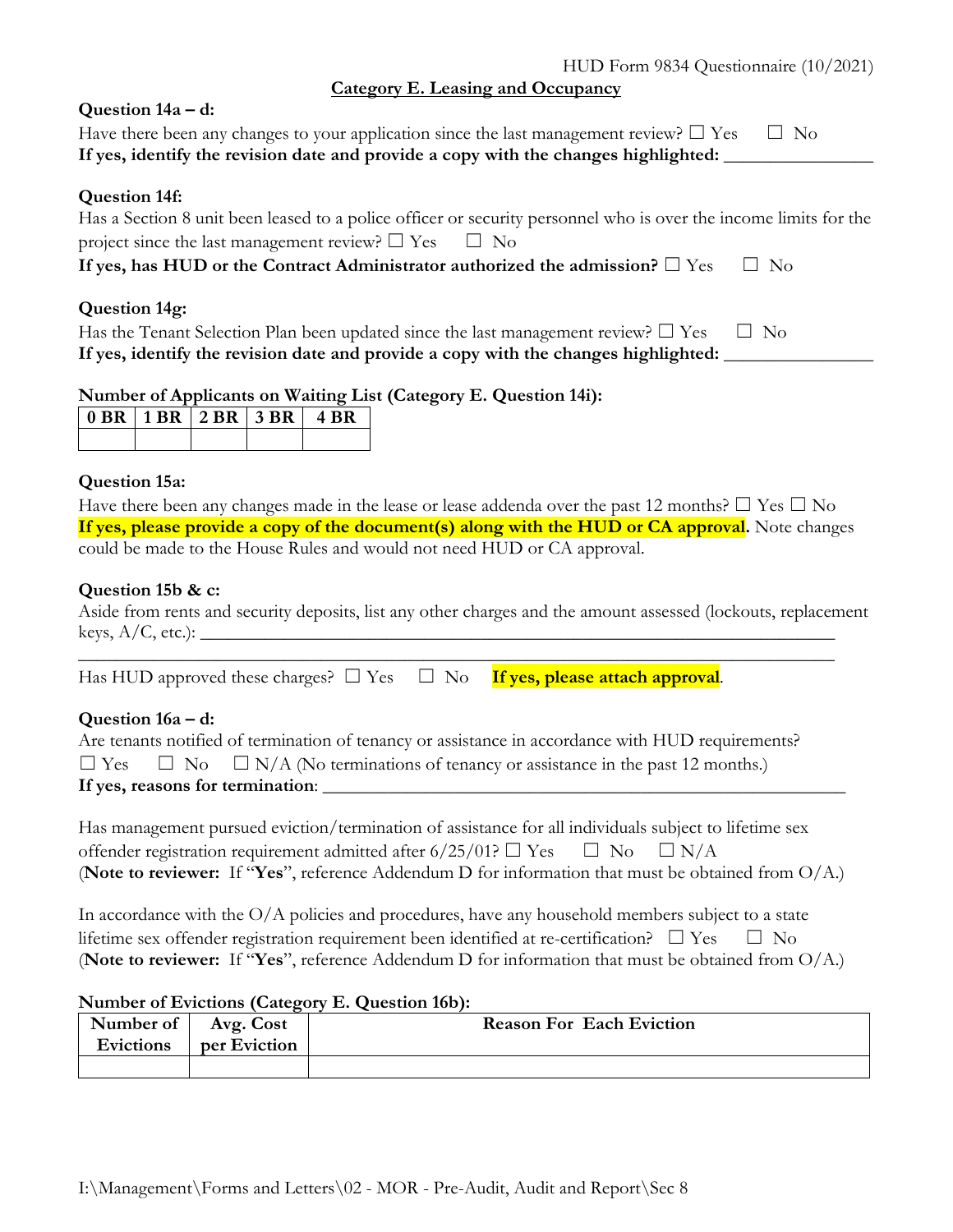HUD Form 9834 Questionnaire (10/2021)

**Category E. Leasing and Occupancy**

| Question 14a – d:                                                                                                                                                                              |
|------------------------------------------------------------------------------------------------------------------------------------------------------------------------------------------------|
| Have there been any changes to your application since the last management review? $\square$ Yes<br>No.<br>$\Box$                                                                               |
| If yes, identify the revision date and provide a copy with the changes highlighted:                                                                                                            |
| <b>Question 14f:</b>                                                                                                                                                                           |
| Has a Section 8 unit been leased to a police officer or security personnel who is over the income limits for the<br>project since the last management review? $\square$ Yes<br>$\Box$ No       |
| If yes, has HUD or the Contract Administrator authorized the admission? $\square$ Yes<br>$\Box$ No                                                                                             |
| Question 14g:                                                                                                                                                                                  |
| Has the Tenant Selection Plan been updated since the last management review? $\square$ Yes<br>$\Box$ No<br>If yes, identify the revision date and provide a copy with the changes highlighted: |
|                                                                                                                                                                                                |

## **Number of Applicants on Waiting List (Category E. Question 14i):**

|  | $\vert 0 BR \vert 1 BR \vert 2 BR \vert 3 BR \vert$ |  |
|--|-----------------------------------------------------|--|
|  |                                                     |  |

#### **Question 15a:**

Have there been any changes made in the lease or lease addenda over the past 12 months?  $\Box$  Yes  $\Box$  No **If yes, please provide a copy of the document(s) along with the HUD or CA approval.** Note changes could be made to the House Rules and would not need HUD or CA approval.

#### **Question 15b & c:**

Aside from rents and security deposits, list any other charges and the amount assessed (lockouts, replacement  $keys, A/C, etc.): \_\_$ 

\_\_\_\_\_\_\_\_\_\_\_\_\_\_\_\_\_\_\_\_\_\_\_\_\_\_\_\_\_\_\_\_\_\_\_\_\_\_\_\_\_\_\_\_\_\_\_\_\_\_\_\_\_\_\_\_\_\_\_\_\_\_\_\_\_\_\_\_\_\_\_\_\_\_\_\_\_\_\_\_\_

Has HUD approved these charges?  $\square$  Yes  $\square$  No **If yes, please attach approval**.

## **Question 16a – d:**

|                                  |  | Are tenants notified of termination of tenancy or assistance in accordance with HUD requirements? |  |  |
|----------------------------------|--|---------------------------------------------------------------------------------------------------|--|--|
|                                  |  | $\Box$ Yes $\Box$ No $\Box$ N/A (No terminations of tenancy or assistance in the past 12 months.) |  |  |
| If yes, reasons for termination: |  |                                                                                                   |  |  |

| Has management pursued eviction/termination of assistance for all individuals subject to lifetime sex |  |
|-------------------------------------------------------------------------------------------------------|--|
| offender registration requirement admitted after $6/25/01$ ? $\Box$ Yes $\Box$ No $\Box$ N/A          |  |
| (Note to reviewer: If "Yes", reference Addendum D for information that must be obtained from $O/A$ .) |  |

In accordance with the O/A policies and procedures, have any household members subject to a state lifetime sex offender registration requirement been identified at re-certification?  $\Box$  Yes  $\Box$  No (**Note to reviewer:** If "**Yes**", reference Addendum D for information that must be obtained from O/A.)

#### **Number of Evictions (Category E. Question 16b):**

| Number of   Avg. Cost<br>Evictions | per Eviction | <b>Reason For Each Eviction</b> |
|------------------------------------|--------------|---------------------------------|
|                                    |              |                                 |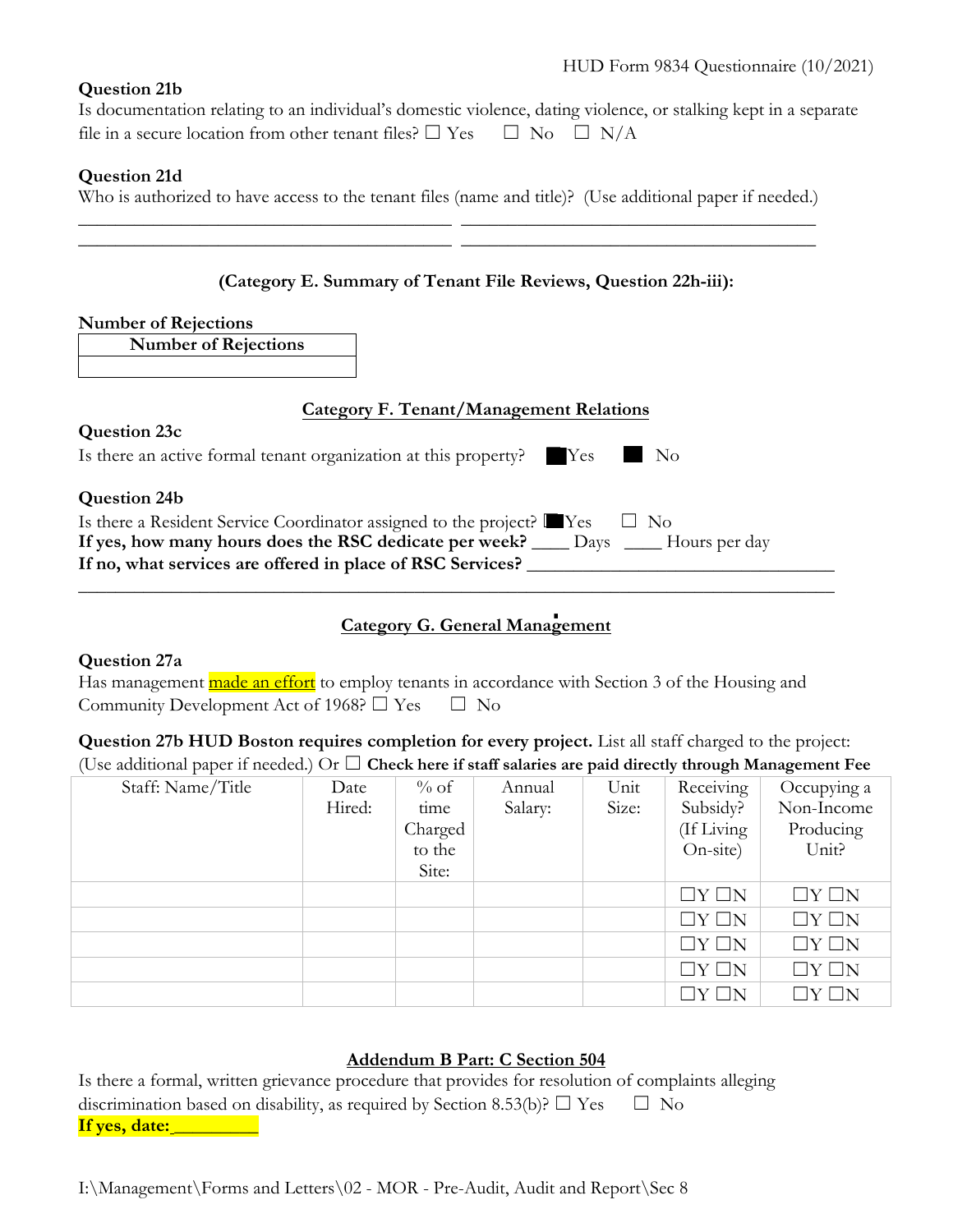### **Question 21b**

Is documentation relating to an individual's domestic violence, dating violence, or stalking kept in a separate file in a secure location from other tenant files?  $\Box$  Yes  $\Box$  No  $\Box$  N/A

## **Question 21d**

Who is authorized to have access to the tenant files (name and title)? (Use additional paper if needed.) \_\_\_\_\_\_\_\_\_\_\_\_\_\_\_\_\_\_\_\_\_\_\_\_\_\_\_\_\_\_\_\_\_\_\_\_\_\_\_\_ \_\_\_\_\_\_\_\_\_\_\_\_\_\_\_\_\_\_\_\_\_\_\_\_\_\_\_\_\_\_\_\_\_\_\_\_\_\_

\_\_\_\_\_\_\_\_\_\_\_\_\_\_\_\_\_\_\_\_\_\_\_\_\_\_\_\_\_\_\_\_\_\_\_\_\_\_\_\_ \_\_\_\_\_\_\_\_\_\_\_\_\_\_\_\_\_\_\_\_\_\_\_\_\_\_\_\_\_\_\_\_\_\_\_\_\_\_

### **(Category E. Summary of Tenant File Reviews, Question 22h-iii):**

#### **Number of Rejections**

**Number of Rejections**

## **Category F. Tenant/Management Relations**

| Question 23c                                                                               |  |
|--------------------------------------------------------------------------------------------|--|
| Is there an active formal tenant organization at this property? Yes No                     |  |
| <b>Question 24b</b>                                                                        |  |
| Is there a Resident Service Coordinator assigned to the project? <b>E</b> Yes<br>$\Box$ No |  |
| If yes, how many hours does the RSC dedicate per week? ______ Days ______ Hours per day    |  |
| If no, what services are offered in place of RSC Services?                                 |  |
|                                                                                            |  |

# **Category G. General Management** ■

#### **Question 27a**

|                                                         | Has management <b>made an effort</b> to employ tenants in accordance with Section 3 of the Housing and |
|---------------------------------------------------------|--------------------------------------------------------------------------------------------------------|
| Community Development Act of 1968? $\Box$ Yes $\Box$ No |                                                                                                        |

## **Question 27b HUD Boston requires completion for every project.** List all staff charged to the project: (Use additional paper if needed.) Or  $\Box$  **Check here if staff salaries are paid directly through Management Fee**

| Staff: Name/Title | Date   | $\%$ of | Annual  | Unit  | Receiving         | Occupying a     |
|-------------------|--------|---------|---------|-------|-------------------|-----------------|
|                   | Hired: | time    | Salary: | Size: | Subsidy?          | Non-Income      |
|                   |        | Charged |         |       | (If Living        | Producing       |
|                   |        | to the  |         |       | On-site)          | Unit?           |
|                   |        | Site:   |         |       |                   |                 |
|                   |        |         |         |       | $\Box Y \Box N$   | $\Box Y \Box N$ |
|                   |        |         |         |       | $\Box Y \Box N$   | $\Box Y \Box N$ |
|                   |        |         |         |       | $\Box Y \Box N$   | $\Box Y \Box N$ |
|                   |        |         |         |       | $\Box Y \Box N$   | $\Box Y \Box N$ |
|                   |        |         |         |       | $\Box$ Y $\Box$ N | $\Box Y \Box N$ |

## **Addendum B Part: C Section 504**

|               | Is there a formal, written grievance procedure that provides for resolution of complaints alleging |  |
|---------------|----------------------------------------------------------------------------------------------------|--|
|               | discrimination based on disability, as required by Section 8.53(b)? $\Box$ Yes $\Box$ No           |  |
| If yes, date: |                                                                                                    |  |